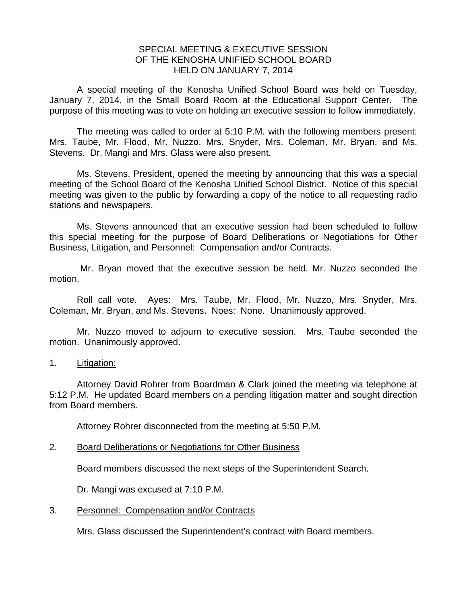## SPECIAL MEETING & EXECUTIVE SESSION OF THE KENOSHA UNIFIED SCHOOL BOARD HELD ON JANUARY 7, 2014

A special meeting of the Kenosha Unified School Board was held on Tuesday, January 7, 2014, in the Small Board Room at the Educational Support Center. The purpose of this meeting was to vote on holding an executive session to follow immediately.

 The meeting was called to order at 5:10 P.M. with the following members present: Mrs. Taube, Mr. Flood, Mr. Nuzzo, Mrs. Snyder, Mrs. Coleman, Mr. Bryan, and Ms. Stevens. Dr. Mangi and Mrs. Glass were also present.

 Ms. Stevens, President, opened the meeting by announcing that this was a special meeting of the School Board of the Kenosha Unified School District. Notice of this special meeting was given to the public by forwarding a copy of the notice to all requesting radio stations and newspapers.

 Ms. Stevens announced that an executive session had been scheduled to follow this special meeting for the purpose of Board Deliberations or Negotiations for Other Business, Litigation, and Personnel: Compensation and/or Contracts.

 Mr. Bryan moved that the executive session be held. Mr. Nuzzo seconded the motion.

 Roll call vote. Ayes: Mrs. Taube, Mr. Flood, Mr. Nuzzo, Mrs. Snyder, Mrs. Coleman, Mr. Bryan, and Ms. Stevens. Noes: None. Unanimously approved.

 Mr. Nuzzo moved to adjourn to executive session. Mrs. Taube seconded the motion. Unanimously approved.

1. Litigation:

 Attorney David Rohrer from Boardman & Clark joined the meeting via telephone at 5:12 P.M. He updated Board members on a pending litigation matter and sought direction from Board members.

Attorney Rohrer disconnected from the meeting at 5:50 P.M.

## 2. Board Deliberations or Negotiations for Other Business

Board members discussed the next steps of the Superintendent Search.

Dr. Mangi was excused at 7:10 P.M.

## 3. Personnel: Compensation and/or Contracts

Mrs. Glass discussed the Superintendent's contract with Board members.